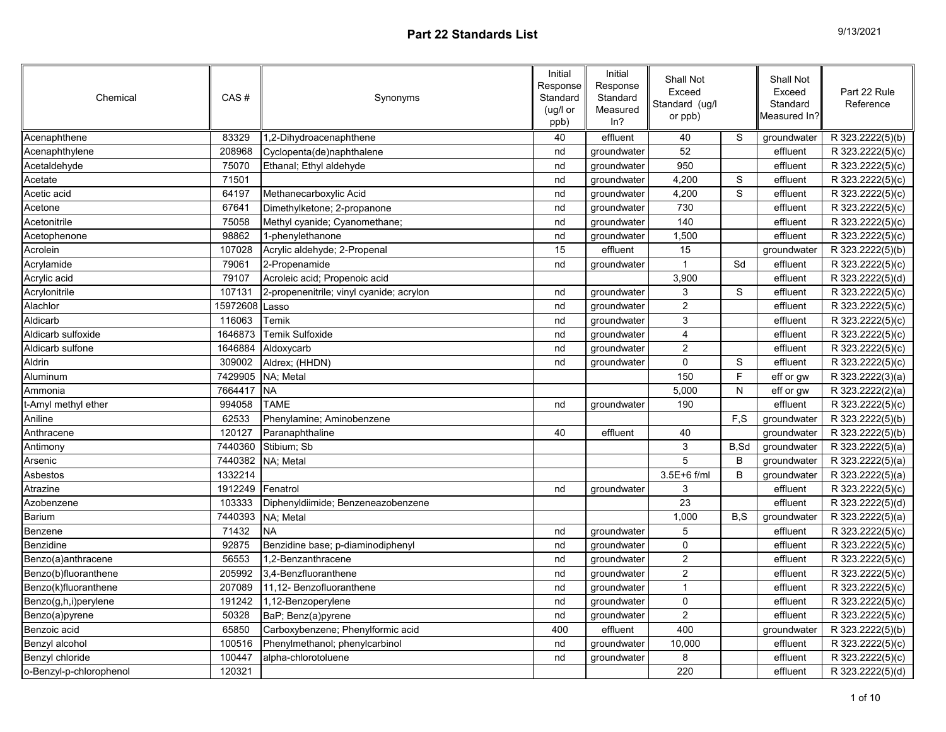| 9/13/2021 |  |
|-----------|--|
|-----------|--|

| Chemical                | CAS#     | Synonyms                                 | Initial<br>Response<br>Standard<br>(ug/l or<br>ppb) | Initial<br>Response<br>Standard<br>Measured<br>ln? | Shall Not<br>Exceed<br>Standard (ug/l<br>or ppb) |                | Shall Not<br>Exceed<br>Standard<br>Measured In? | Part 22 Rule<br>Reference     |
|-------------------------|----------|------------------------------------------|-----------------------------------------------------|----------------------------------------------------|--------------------------------------------------|----------------|-------------------------------------------------|-------------------------------|
| Acenaphthene            | 83329    | 1,2-Dihydroacenaphthene                  | 40                                                  | effluent                                           | 40                                               | $\overline{s}$ | groundwater                                     | R 323.2222(5)(b)              |
| Acenaphthylene          | 208968   | Cyclopenta(de)naphthalene                | nd                                                  | groundwater                                        | 52                                               |                | effluent                                        | R 323.2222(5)(c)              |
| Acetaldehyde            | 75070    | Ethanal; Ethyl aldehyde                  | nd                                                  | groundwater                                        | 950                                              |                | effluent                                        | R 323.2222(5)(c)              |
| Acetate                 | 71501    |                                          | nd                                                  | groundwater                                        | 4,200                                            | $\mathbf S$    | effluent                                        | R 323.2222(5)(c)              |
| Acetic acid             | 64197    | Methanecarboxylic Acid                   | nd                                                  | groundwater                                        | 4,200                                            | $\overline{s}$ | effluent                                        | R 323.2222(5)(c)              |
| Acetone                 | 67641    | Dimethylketone; 2-propanone              | nd                                                  | groundwater                                        | 730                                              |                | effluent                                        | R 323.2222(5)(c)              |
| Acetonitrile            | 75058    | Methyl cyanide; Cyanomethane;            | nd                                                  | groundwater                                        | 140                                              |                | effluent                                        | R 323.2222(5)(c)              |
| Acetophenone            | 98862    | 1-phenylethanone                         | nd                                                  | groundwater                                        | 1,500                                            |                | effluent                                        | R 323.2222(5)(c)              |
| Acrolein                | 107028   | Acrylic aldehyde; 2-Propenal             | 15                                                  | effluent                                           | 15                                               |                | groundwater                                     | R 323.2222(5)(b)              |
| Acrylamide              | 79061    | 2-Propenamide                            | nd                                                  | groundwater                                        | $\mathbf{1}$                                     | Sd             | effluent                                        | R 323.2222(5)(c)              |
| Acrylic acid            | 79107    | Acroleic acid; Propenoic acid            |                                                     |                                                    | 3,900                                            |                | effluent                                        | R 323.2222(5)(d)              |
| Acrylonitrile           | 107131   | 2-propenenitrile; vinyl cyanide; acrylon | nd                                                  | groundwater                                        | 3                                                | S              | effluent                                        | R 323.2222(5)(c)              |
| Alachlor                | 15972608 | Lasso                                    | nd                                                  | groundwater                                        | $\overline{2}$                                   |                | effluent                                        | R 323.2222(5)(c)              |
| Aldicarb                | 116063   | Temik                                    | nd                                                  | groundwater                                        | 3                                                |                | effluent                                        | R 323.2222(5)(c)              |
| Aldicarb sulfoxide      | 1646873  | Temik Sulfoxide                          | nd                                                  | groundwater                                        | $\overline{\mathbf{4}}$                          |                | effluent                                        | R 323.2222(5)(c)              |
| Aldicarb sulfone        | 1646884  | Aldoxycarb                               | nd                                                  | groundwater                                        | $\overline{2}$                                   |                | effluent                                        | $\overline{R}$ 323.2222(5)(c) |
| Aldrin                  | 309002   | Aldrex; (HHDN)                           | nd                                                  | groundwater                                        | $\mathbf 0$                                      | $\mathbf S$    | effluent                                        | R 323.2222(5)(c)              |
| Aluminum                | 7429905  | NA: Metal                                |                                                     |                                                    | 150                                              | F              | eff or gw                                       | R 323.2222(3)(a)              |
| Ammonia                 | 7664417  | <b>NA</b>                                |                                                     |                                                    | 5,000                                            | N              | eff or gw                                       | R 323.2222(2)(a)              |
| t-Amyl methyl ether     | 994058   | <b>TAME</b>                              | nd                                                  | groundwater                                        | 190                                              |                | effluent                                        | R 323.2222(5)(c)              |
| Aniline                 | 62533    | Phenylamine; Aminobenzene                |                                                     |                                                    |                                                  | F,S            | groundwater                                     | R 323.2222(5)(b)              |
| Anthracene              | 120127   | Paranaphthaline                          | 40                                                  | effluent                                           | 40                                               |                | groundwater                                     | R 323.2222(5)(b)              |
| Antimony                | 7440360  | Stibium; Sb                              |                                                     |                                                    | $\mathsf 3$                                      | B,Sd           | groundwater                                     | R 323.2222(5)(a)              |
| Arsenic                 | 7440382  | NA; Metal                                |                                                     |                                                    | 5                                                | B              | groundwater                                     | R 323.2222(5)(a)              |
| Asbestos                | 1332214  |                                          |                                                     |                                                    | 3.5E+6 f/ml                                      | B              | groundwater                                     | R 323.2222(5)(a)              |
| Atrazine                | 1912249  | Fenatrol                                 | nd                                                  | groundwater                                        | $\ensuremath{\mathsf{3}}$                        |                | effluent                                        | R 323.2222(5)(c)              |
| Azobenzene              | 103333   | Diphenyldiimide; Benzeneazobenzene       |                                                     |                                                    | 23                                               |                | effluent                                        | R 323.2222(5)(d)              |
| Barium                  | 7440393  | NA; Metal                                |                                                     |                                                    | 1,000                                            | B, S           | groundwater                                     | R 323.2222(5)(a)              |
| Benzene                 | 71432    | <b>NA</b>                                | nd                                                  | groundwater                                        | 5                                                |                | effluent                                        | R 323.2222(5)(c)              |
| Benzidine               | 92875    | Benzidine base; p-diaminodiphenyl        | nd                                                  | groundwater                                        | $\pmb{0}$                                        |                | effluent                                        | R 323.2222(5)(c)              |
| Benzo(a)anthracene      | 56553    | 1,2-Benzanthracene                       | nd                                                  | groundwater                                        | $\mathbf 2$                                      |                | effluent                                        | R 323.2222(5)(c)              |
| Benzo(b)fluoranthene    | 205992   | 3,4-Benzfluoranthene                     | nd                                                  | groundwater                                        | $\mathbf 2$                                      |                | effluent                                        | R 323.2222(5)(c)              |
| Benzo(k)fluoranthene    | 207089   | 11,12- Benzofluoranthene                 | nd                                                  | groundwater                                        | $\mathbf{1}$                                     |                | effluent                                        | R 323.2222(5)(c)              |
| Benzo(g,h,i)perylene    | 191242   | 1,12-Benzoperylene                       | nd                                                  | groundwater                                        | $\pmb{0}$                                        |                | effluent                                        | R 323.2222(5)(c)              |
| Benzo(a)pyrene          | 50328    | BaP; Benz(a)pyrene                       | nd                                                  | groundwater                                        | $\overline{c}$                                   |                | effluent                                        | R 323.2222(5)(c)              |
| Benzoic acid            | 65850    | Carboxybenzene; Phenylformic acid        | 400                                                 | effluent                                           | 400                                              |                | groundwater                                     | R 323.2222(5)(b)              |
| Benzyl alcohol          | 100516   | Phenylmethanol; phenylcarbinol           | nd                                                  | groundwater                                        | 10,000                                           |                | effluent                                        | R 323.2222(5)(c)              |
| Benzyl chloride         | 100447   | alpha-chlorotoluene                      | nd                                                  | groundwater                                        | 8                                                |                | effluent                                        | R 323.2222(5)(c)              |
| o-Benzyl-p-chlorophenol | 120321   |                                          |                                                     |                                                    | 220                                              |                | effluent                                        | R 323.2222(5)(d)              |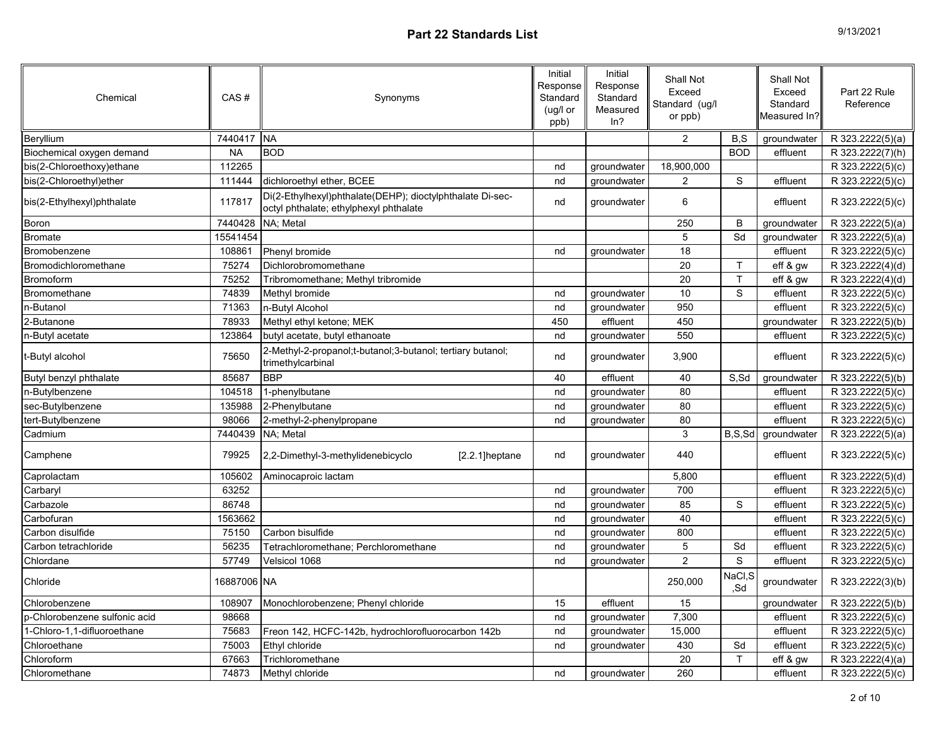| Chemical                      | CAS#        | Synonyms                                                                                            | Initial<br>Response<br>Standard<br>(ug/l or<br>ppb) | Initial<br>Response<br>Standard<br>Measured<br>ln? | Shall Not<br>Exceed<br>Standard (ug/l<br>or ppb) |                | Shall Not<br>Exceed<br>Standard<br>Measured In?l | Part 22 Rule<br>Reference     |
|-------------------------------|-------------|-----------------------------------------------------------------------------------------------------|-----------------------------------------------------|----------------------------------------------------|--------------------------------------------------|----------------|--------------------------------------------------|-------------------------------|
| Beryllium                     | 7440417 NA  |                                                                                                     |                                                     |                                                    | $\mathbf{2}$                                     | B,S            | groundwater                                      | R 323.2222(5)(a)              |
| Biochemical oxygen demand     | <b>NA</b>   | <b>BOD</b>                                                                                          |                                                     |                                                    |                                                  | <b>BOD</b>     | effluent                                         | R 323.2222(7)(h)              |
| bis(2-Chloroethoxy)ethane     | 112265      |                                                                                                     | nd                                                  | groundwater                                        | 18,900,000                                       |                |                                                  | R 323.2222(5)(c)              |
| bis(2-Chloroethyl)ether       | 111444      | dichloroethyl ether, BCEE                                                                           | nd                                                  | groundwater                                        | $\overline{2}$                                   | S              | effluent                                         | R 323.2222(5)(c)              |
| bis(2-Ethylhexyl)phthalate    | 117817      | Di(2-Ethylhexyl)phthalate(DEHP); dioctylphthalate Di-sec-<br>octyl phthalate; ethylphexyl phthalate | nd                                                  | groundwater                                        | 6                                                |                | effluent                                         | R 323.2222(5)(c)              |
| Boron                         | 7440428     | NA: Metal                                                                                           |                                                     |                                                    | 250                                              | B              | groundwater                                      | R 323.2222(5)(a)              |
| <b>Bromate</b>                | 15541454    |                                                                                                     |                                                     |                                                    | 5                                                | Sd             | groundwater                                      | R 323.2222(5)(a)              |
| Bromobenzene                  | 108861      | Phenyl bromide                                                                                      | nd                                                  | groundwater                                        | 18                                               |                | effluent                                         | R 323.2222(5)(c)              |
| Bromodichloromethane          | 75274       | Dichlorobromomethane                                                                                |                                                     |                                                    | $\overline{20}$                                  | T.             | eff & gw                                         | R 323.2222(4)(d)              |
| <b>Bromoform</b>              | 75252       | Tribromomethane; Methyl tribromide                                                                  |                                                     |                                                    | 20                                               | T              | eff & gw                                         | R 323.2222(4)(d)              |
| Bromomethane                  | 74839       | Methyl bromide                                                                                      | nd                                                  | groundwater                                        | 10                                               | $\mathbb S$    | effluent                                         | R 323.2222(5)(c)              |
| n-Butanol                     | 71363       | n-Butyl Alcohol                                                                                     | nd                                                  | groundwater                                        | 950                                              |                | effluent                                         | R 323.2222(5)(c)              |
| 2-Butanone                    | 78933       | Methyl ethyl ketone; MEK                                                                            | 450                                                 | effluent                                           | 450                                              |                | groundwater                                      | R 323.2222(5)(b)              |
| n-Butyl acetate               | 123864      | butyl acetate, butyl ethanoate                                                                      | nd                                                  | groundwater                                        | 550                                              |                | effluent                                         | R 323.2222(5)(c)              |
| t-Butyl alcohol               | 75650       | 2-Methyl-2-propanol;t-butanol;3-butanol; tertiary butanol;<br>trimethylcarbinal                     | nd                                                  | groundwater                                        | 3,900                                            |                | effluent                                         | R 323.2222(5)(c)              |
| Butyl benzyl phthalate        | 85687       | <b>BBP</b>                                                                                          | 40                                                  | effluent                                           | 40                                               | S,Sd           | groundwater                                      | R 323.2222(5)(b)              |
| n-Butylbenzene                | 104518      | 1-phenylbutane                                                                                      | nd                                                  | groundwater                                        | 80                                               |                | effluent                                         | $\overline{R}$ 323.2222(5)(c) |
| sec-Butylbenzene              | 135988      | 2-Phenylbutane                                                                                      | nd                                                  | groundwater                                        | 80                                               |                | effluent                                         | R 323.2222(5)(c)              |
| tert-Butylbenzene             | 98066       | 2-methyl-2-phenylpropane                                                                            | nd                                                  | groundwater                                        | 80                                               |                | effluent                                         | R 323.2222(5)(c)              |
| Cadmium                       | 7440439     | NA: Metal                                                                                           |                                                     |                                                    | 3                                                | B, S, Sd       | groundwater                                      | R 323.2222(5)(a)              |
| Camphene                      | 79925       | 2,2-Dimethyl-3-methylidenebicyclo<br>[2.2.1]heptane                                                 | nd                                                  | groundwater                                        | 440                                              |                | effluent                                         | R 323.2222(5)(c)              |
| Caprolactam                   | 105602      | Aminocaproic lactam                                                                                 |                                                     |                                                    | 5,800                                            |                | effluent                                         | R 323.2222(5)(d)              |
| Carbaryl                      | 63252       |                                                                                                     | nd                                                  | groundwater                                        | 700                                              |                | effluent                                         | R 323.2222(5)(c)              |
| Carbazole                     | 86748       |                                                                                                     | nd                                                  | groundwater                                        | 85                                               | S              | effluent                                         | R 323.2222(5)(c)              |
| Carbofuran                    | 1563662     |                                                                                                     | nd                                                  | groundwater                                        | 40                                               |                | effluent                                         | R 323.2222(5)(c)              |
| Carbon disulfide              | 75150       | Carbon bisulfide                                                                                    | nd                                                  | groundwater                                        | 800                                              |                | effluent                                         | R 323.2222(5)(c)              |
| Carbon tetrachloride          | 56235       | Tetrachloromethane; Perchloromethane                                                                | nd                                                  | groundwater                                        | 5                                                | Sd             | effluent                                         | R 323.2222(5)(c)              |
| Chlordane                     | 57749       | Velsicol 1068                                                                                       | nd                                                  | groundwater                                        | $\overline{2}$                                   | $\mathbb S$    | effluent                                         | R 323.2222(5)(c)              |
| Chloride                      | 16887006 NA |                                                                                                     |                                                     |                                                    | 250,000                                          | NaCl, S<br>.Sd | groundwater                                      | R 323.2222(3)(b)              |
| Chlorobenzene                 | 108907      | Monochlorobenzene; Phenyl chloride                                                                  | 15                                                  | effluent                                           | 15                                               |                | groundwater                                      | R 323.2222(5)(b)              |
| p-Chlorobenzene sulfonic acid | 98668       |                                                                                                     | nd                                                  | groundwater                                        | 7,300                                            |                | effluent                                         | R 323.2222(5)(c)              |
| 1-Chloro-1,1-difluoroethane   | 75683       | Freon 142, HCFC-142b, hydrochlorofluorocarbon 142b                                                  | nd                                                  | groundwater                                        | 15,000                                           |                | effluent                                         | $\overline{R}$ 323.2222(5)(c) |
| Chloroethane                  | 75003       | Ethyl chloride                                                                                      | nd                                                  | groundwater                                        | 430                                              | Sd             | effluent                                         | R 323.2222(5)(c)              |
| Chloroform                    | 67663       | Trichloromethane                                                                                    |                                                     |                                                    | 20                                               | т              | eff & gw                                         | R 323.2222(4)(a)              |
| Chloromethane                 | 74873       | Methyl chloride                                                                                     | nd                                                  | groundwater                                        | 260                                              |                | effluent                                         | R 323.2222(5)(c)              |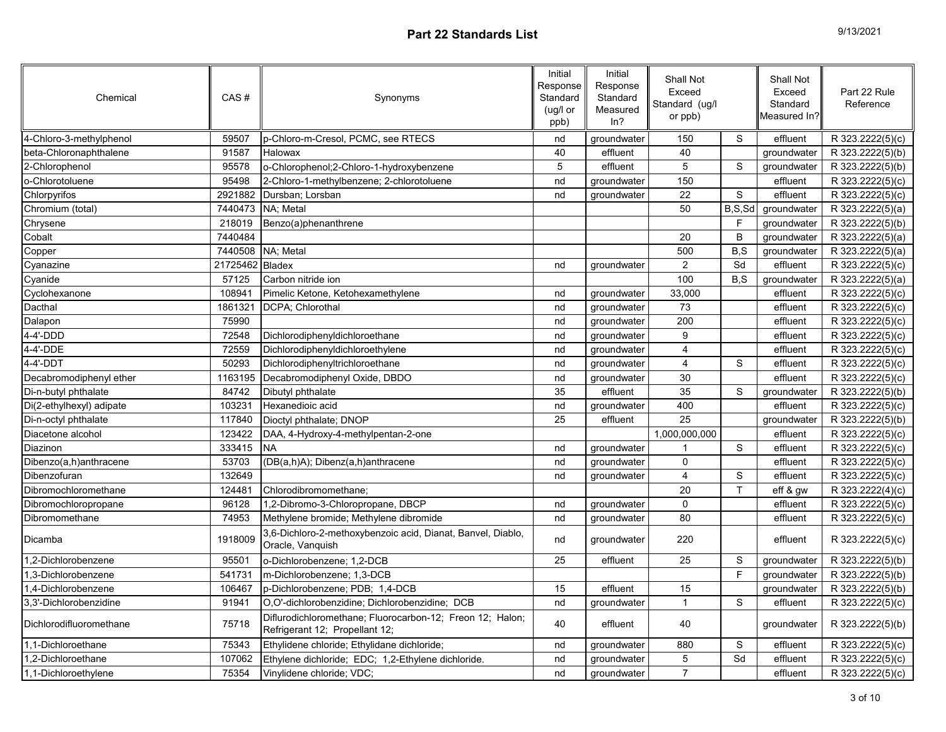| 9/13/2021 |  |
|-----------|--|
|-----------|--|

| Chemical                 | CAS#            | Synonyms                                                                                    | Initial<br>Response<br>Standard<br>(ug/l or<br>ppb) | Initial<br>Response<br>Standard<br>Measured<br>ln? | Shall Not<br>Exceed<br>Standard (ug/l<br>or ppb) |              | <b>Shall Not</b><br>Exceed<br>Standard<br>Measured In? | Part 22 Rule<br>Reference |
|--------------------------|-----------------|---------------------------------------------------------------------------------------------|-----------------------------------------------------|----------------------------------------------------|--------------------------------------------------|--------------|--------------------------------------------------------|---------------------------|
| 4-Chloro-3-methylphenol  | 59507           | p-Chloro-m-Cresol, PCMC, see RTECS                                                          | nd                                                  | groundwater                                        | 150                                              | S            | effluent                                               | R 323.2222(5)(c)          |
| beta-Chloronaphthalene   | 91587           | Halowax                                                                                     | 40                                                  | effluent                                           | 40                                               |              | groundwater                                            | R 323.2222(5)(b)          |
| 2-Chlorophenol           | 95578           | o-Chlorophenol;2-Chloro-1-hydroxybenzene                                                    | 5                                                   | effluent                                           | $\overline{5}$                                   | $\mathbb S$  | groundwater                                            | R 323.2222(5)(b)          |
| o-Chlorotoluene          | 95498           | 2-Chloro-1-methylbenzene; 2-chlorotoluene                                                   | nd                                                  | groundwater                                        | 150                                              |              | effluent                                               | R 323.2222(5)(c)          |
| Chlorpyrifos             | 2921882         | Dursban; Lorsban                                                                            | nd                                                  | groundwater                                        | 22                                               | S            | effluent                                               | R 323.2222(5)(c)          |
| Chromium (total)         |                 | 7440473 NA; Metal                                                                           |                                                     |                                                    | 50                                               | B, S, Sd     | groundwater                                            | R 323.2222(5)(a)          |
| Chrysene                 | 218019          | Benzo(a)phenanthrene                                                                        |                                                     |                                                    |                                                  | E            | groundwater                                            | R 323.2222(5)(b)          |
| Cobalt                   | 7440484         |                                                                                             |                                                     |                                                    | 20                                               | B            | groundwater                                            | R 323.2222(5)(a)          |
| Copper                   |                 | 7440508 NA; Metal                                                                           |                                                     |                                                    | 500                                              | B, S         | groundwater                                            | R 323.2222(5)(a)          |
| Cyanazine                | 21725462 Bladex |                                                                                             | nd                                                  | groundwater                                        | $\overline{2}$                                   | Sd           | effluent                                               | R 323.2222(5)(c)          |
| Cyanide                  | 57125           | Carbon nitride ion                                                                          |                                                     |                                                    | 100                                              | B, S         | groundwater                                            | R 323.2222(5)(a)          |
| Cyclohexanone            | 108941          | Pimelic Ketone, Ketohexamethylene                                                           | nd                                                  | groundwater                                        | 33,000                                           |              | effluent                                               | R 323.2222(5)(c)          |
| Dacthal                  | 1861321         | DCPA; Chlorothal                                                                            | nd                                                  | groundwater                                        | 73                                               |              | effluent                                               | R 323.2222(5)(c)          |
| Dalapon                  | 75990           |                                                                                             | nd                                                  | groundwater                                        | 200                                              |              | effluent                                               | R 323.2222(5)(c)          |
| 4-4'-DDD                 | 72548           | Dichlorodiphenyldichloroethane                                                              | nd                                                  | groundwater                                        | $\boldsymbol{9}$                                 |              | effluent                                               | R 323.2222(5)(c)          |
| 4-4'-DDE                 | 72559           | Dichlorodiphenyldichloroethylene                                                            | nd                                                  | groundwater                                        | $\overline{\mathbf{4}}$                          |              | effluent                                               | R 323.2222(5)(c)          |
| 4-4'-DDT                 | 50293           | Dichlorodiphenyltrichloroethane                                                             | nd                                                  | groundwater                                        | $\overline{\mathbf{4}}$                          | S            | effluent                                               | R 323.2222(5)(c)          |
| Decabromodiphenyl ether  | 1163195         | Decabromodiphenyl Oxide, DBDO                                                               | nd                                                  | groundwater                                        | 30                                               |              | effluent                                               | R 323.2222(5)(c)          |
| Di-n-butyl phthalate     | 84742           | Dibutyl phthalate                                                                           | 35                                                  | effluent                                           | 35                                               | S            | groundwater                                            | R 323.2222(5)(b)          |
| Di(2-ethylhexyl) adipate | 103231          | Hexanedioic acid                                                                            | nd                                                  | groundwater                                        | 400                                              |              | effluent                                               | R 323.2222(5)(c)          |
| Di-n-octyl phthalate     | 117840          | Dioctyl phthalate; DNOP                                                                     | 25                                                  | effluent                                           | 25                                               |              | groundwater                                            | R 323.2222(5)(b)          |
| Diacetone alcohol        | 123422          | DAA, 4-Hydroxy-4-methylpentan-2-one                                                         |                                                     |                                                    | 1,000,000,000                                    |              | effluent                                               | R 323.2222(5)(c)          |
| <b>Diazinon</b>          | 333415          | <b>NA</b>                                                                                   | nd                                                  | groundwater                                        |                                                  | S            | effluent                                               | R 323.2222(5)(c)          |
| Dibenzo(a,h)anthracene   | 53703           | (DB(a,h)A); Dibenz(a,h)anthracene                                                           | nd                                                  | groundwater                                        | $\Omega$                                         |              | effluent                                               | R 323.2222(5)(c)          |
| Dibenzofuran             | 132649          |                                                                                             | nd                                                  | groundwater                                        | 4                                                | $\mathbb S$  | effluent                                               | R 323.2222(5)(c)          |
| Dibromochloromethane     | 124481          | Chlorodibromomethane;                                                                       |                                                     |                                                    | 20                                               | $\mathsf{T}$ | eff & gw                                               | R 323.2222(4)(c)          |
| Dibromochloropropane     | 96128           | 1,2-Dibromo-3-Chloropropane, DBCP                                                           | nd                                                  | groundwater                                        | $\mathbf 0$                                      |              | effluent                                               | R 323.2222(5)(c)          |
| Dibromomethane           | 74953           | Methylene bromide; Methylene dibromide                                                      | nd                                                  | groundwater                                        | 80                                               |              | effluent                                               | R 323.2222(5)(c)          |
| Dicamba                  | 1918009         | 3,6-Dichloro-2-methoxybenzoic acid, Dianat, Banvel, Diablo,<br>Oracle, Vanquish             | nd                                                  | groundwater                                        | 220                                              |              | effluent                                               | R 323.2222(5)(c)          |
| 1,2-Dichlorobenzene      | 95501           | o-Dichlorobenzene; 1,2-DCB                                                                  | 25                                                  | effluent                                           | 25                                               | S            | groundwater                                            | R 323.2222(5)(b)          |
| 1.3-Dichlorobenzene      | 541731          | lm-Dichlorobenzene: 1.3-DCB                                                                 |                                                     |                                                    |                                                  | E            | groundwater                                            | R 323.2222(5)(b)          |
| 1.4-Dichlorobenzene      | 106467          | p-Dichlorobenzene; PDB; 1,4-DCB                                                             | 15                                                  | effluent                                           | 15                                               |              | groundwater                                            | R 323.2222(5)(b)          |
| 3,3'-Dichlorobenzidine   | 91941           | O,O'-dichlorobenzidine; Dichlorobenzidine; DCB                                              | nd                                                  | groundwater                                        | $\overline{1}$                                   | $\mathbb S$  | effluent                                               | R 323.2222(5)(c)          |
| Dichlorodifluoromethane  | 75718           | Diflurodichloromethane; Fluorocarbon-12; Freon 12; Halon;<br>Refrigerant 12; Propellant 12; | 40                                                  | effluent                                           | 40                                               |              | groundwater                                            | R 323.2222(5)(b)          |
| 1,1-Dichloroethane       | 75343           | Ethylidene chloride; Ethylidane dichloride;                                                 | nd                                                  | groundwater                                        | 880                                              | $\mathbb S$  | effluent                                               | R 323.2222(5)(c)          |
| 1,2-Dichloroethane       | 107062          | Ethylene dichloride; EDC; 1,2-Ethylene dichloride.                                          | nd                                                  | groundwater                                        | $\sqrt{5}$                                       | Sd           | effluent                                               | R 323.2222(5)(c)          |
| 1,1-Dichloroethylene     | 75354           | Vinylidene chloride; VDC;                                                                   | nd                                                  | groundwater                                        | $\overline{7}$                                   |              | effluent                                               | R 323.2222(5)(c)          |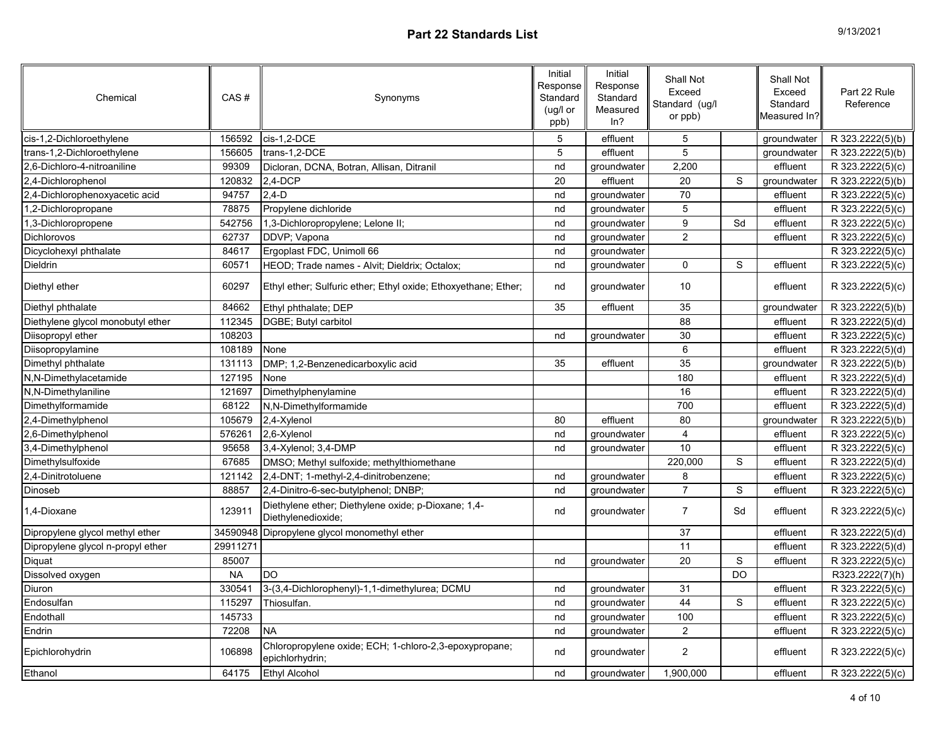| 9/13/2021 |  |
|-----------|--|
|-----------|--|

| Chemical                          | CAS#      | Synonyms                                                                  | Initial<br>Response<br>Standard<br>(ug/l or<br>ppb) | Initial<br>Response<br>Standard<br>Measured<br>ln? | Shall Not<br>Exceed<br>Standard (ug/l<br>or ppb) |             | Shall Not<br>Exceed<br>Standard<br>Measured In? | Part 22 Rule<br>Reference |
|-----------------------------------|-----------|---------------------------------------------------------------------------|-----------------------------------------------------|----------------------------------------------------|--------------------------------------------------|-------------|-------------------------------------------------|---------------------------|
| cis-1,2-Dichloroethylene          | 156592    | cis-1,2-DCE                                                               | $\,$ 5 $\,$                                         | effluent                                           | 5                                                |             | groundwater                                     | R 323.2222(5)(b)          |
| trans-1,2-Dichloroethylene        | 156605    | trans-1.2-DCE                                                             | 5                                                   | effluent                                           | 5                                                |             | groundwater                                     | R 323.2222(5)(b)          |
| 2,6-Dichloro-4-nitroaniline       | 99309     | Dicloran, DCNA, Botran, Allisan, Ditranil                                 | nd                                                  | groundwater                                        | 2,200                                            |             | effluent                                        | R 323.2222(5)(c)          |
| 2,4-Dichlorophenol                | 120832    | $2.4 - DCP$                                                               | 20                                                  | effluent                                           | $\overline{20}$                                  | S           | groundwater                                     | R 323.2222(5)(b)          |
| 2,4-Dichlorophenoxyacetic acid    | 94757     | $2,4-D$                                                                   | nd                                                  | groundwater                                        | 70                                               |             | effluent                                        | R 323.2222(5)(c)          |
| 1,2-Dichloropropane               | 78875     | Propylene dichloride                                                      | nd                                                  | groundwater                                        | 5                                                |             | effluent                                        | R 323.2222(5)(c)          |
| 1,3-Dichloropropene               | 542756    | 1,3-Dichloropropylene; Lelone II;                                         | nd                                                  | groundwater                                        | $\overline{9}$                                   | Sd          | effluent                                        | R 323.2222(5)(c)          |
| Dichlorovos                       | 62737     | DDVP; Vapona                                                              | nd                                                  | groundwater                                        | $\overline{c}$                                   |             | effluent                                        | R 323.2222(5)(c)          |
| Dicyclohexyl phthalate            | 84617     | Ergoplast FDC, Unimoll 66                                                 | nd                                                  | groundwater                                        |                                                  |             |                                                 | R 323.2222(5)(c)          |
| Dieldrin                          | 60571     | HEOD; Trade names - Alvit; Dieldrix; Octalox;                             | nd                                                  | groundwater                                        | $\mathbf 0$                                      | $\mathbb S$ | effluent                                        | R 323.2222(5)(c)          |
| Diethyl ether                     | 60297     | Ethyl ether; Sulfuric ether; Ethyl oxide; Ethoxyethane; Ether;            | nd                                                  | groundwater                                        | 10                                               |             | effluent                                        | R 323.2222(5)(c)          |
| Diethyl phthalate                 | 84662     | Ethyl phthalate; DEP                                                      | 35                                                  | effluent                                           | 35                                               |             | groundwater                                     | R 323.2222(5)(b)          |
| Diethylene glycol monobutyl ether | 112345    | DGBE; Butyl carbitol                                                      |                                                     |                                                    | $\overline{88}$                                  |             | effluent                                        | R 323.2222(5)(d)          |
| Diisopropyl ether                 | 108203    |                                                                           | nd                                                  | groundwater                                        | 30                                               |             | effluent                                        | R 323.2222(5)(c)          |
| Diisopropylamine                  | 108189    | None                                                                      |                                                     |                                                    | $\overline{6}$                                   |             | effluent                                        | R 323.2222(5)(d)          |
| Dimethyl phthalate                | 131113    | DMP; 1,2-Benzenedicarboxylic acid                                         | 35                                                  | effluent                                           | 35                                               |             | groundwater                                     | R 323.2222(5)(b)          |
| N,N-Dimethylacetamide             | 127195    | None                                                                      |                                                     |                                                    | 180                                              |             | effluent                                        | R 323.2222(5)(d)          |
| N,N-Dimethylaniline               | 121697    | Dimethylphenylamine                                                       |                                                     |                                                    | 16                                               |             | effluent                                        | R 323.2222(5)(d)          |
| Dimethylformamide                 | 68122     | N,N-Dimethylformamide                                                     |                                                     |                                                    | 700                                              |             | effluent                                        | R 323.2222(5)(d)          |
| 2,4-Dimethylphenol                | 105679    | 2,4-Xylenol                                                               | 80                                                  | effluent                                           | 80                                               |             | groundwater                                     | R 323.2222(5)(b)          |
| 2,6-Dimethylphenol                | 576261    | 2,6-Xylenol                                                               | nd                                                  | groundwater                                        | $\overline{\mathbf{4}}$                          |             | effluent                                        | R 323.2222(5)(c)          |
| 3,4-Dimethylphenol                | 95658     | 3,4-Xylenol; 3,4-DMP                                                      | nd                                                  | groundwater                                        | 10                                               |             | effluent                                        | R 323.2222(5)(c)          |
| Dimethylsulfoxide                 | 67685     | DMSO; Methyl sulfoxide; methylthiomethane                                 |                                                     |                                                    | 220,000                                          | S           | effluent                                        | R 323.2222(5)(d)          |
| 2.4-Dinitrotoluene                | 121142    | 2,4-DNT; 1-methyl-2,4-dinitrobenzene;                                     | nd                                                  | groundwater                                        | 8                                                |             | effluent                                        | R 323.2222(5)(c)          |
| Dinoseb                           | 88857     | 2,4-Dinitro-6-sec-butylphenol; DNBP;                                      | nd                                                  | groundwater                                        | $\overline{7}$                                   | S           | effluent                                        | R 323.2222(5)(c)          |
| 1,4-Dioxane                       | 123911    | Diethylene ether; Diethylene oxide; p-Dioxane; 1,4-<br>Diethylenedioxide; | nd                                                  | groundwater                                        | $\overline{7}$                                   | Sd          | effluent                                        | R 323.2222(5)(c)          |
| Dipropylene glycol methyl ether   |           | 34590948 Dipropylene glycol monomethyl ether                              |                                                     |                                                    | 37                                               |             | effluent                                        | R 323.2222(5)(d)          |
| Dipropylene glycol n-propyl ether | 29911271  |                                                                           |                                                     |                                                    | 11                                               |             | effluent                                        | R 323.2222(5)(d)          |
| Diquat                            | 85007     |                                                                           | nd                                                  | groundwater                                        | 20                                               | $\mathbf S$ | effluent                                        | R 323.2222(5)(c)          |
| Dissolved oxygen                  | <b>NA</b> | <b>DO</b>                                                                 |                                                     |                                                    |                                                  | <b>DO</b>   |                                                 | R323.2222(7)(h)           |
| Diuron                            | 330541    | 3-(3,4-Dichlorophenyl)-1,1-dimethylurea; DCMU                             | nd                                                  | groundwater                                        | 31                                               |             | effluent                                        | R 323.2222(5)(c)          |
| Endosulfan                        | 115297    | Thiosulfan.                                                               | nd                                                  | groundwater                                        | 44                                               | S           | effluent                                        | R 323.2222(5)(c)          |
| Endothall                         | 145733    |                                                                           | nd                                                  | groundwater                                        | 100                                              |             | effluent                                        | R 323.2222(5)(c)          |
| Endrin                            | 72208     | <b>NA</b>                                                                 | nd                                                  | groundwater                                        | $\overline{2}$                                   |             | effluent                                        | R 323.2222(5)(c)          |
| Epichlorohydrin                   | 106898    | Chloropropylene oxide; ECH; 1-chloro-2,3-epoxypropane;<br>epichlorhydrin; | nd                                                  | groundwater                                        | $\mathbf 2$                                      |             | effluent                                        | R 323.2222(5)(c)          |
| Ethanol                           | 64175     | Ethyl Alcohol                                                             | nd                                                  | groundwater                                        | 1,900,000                                        |             | effluent                                        | R 323.2222(5)(c)          |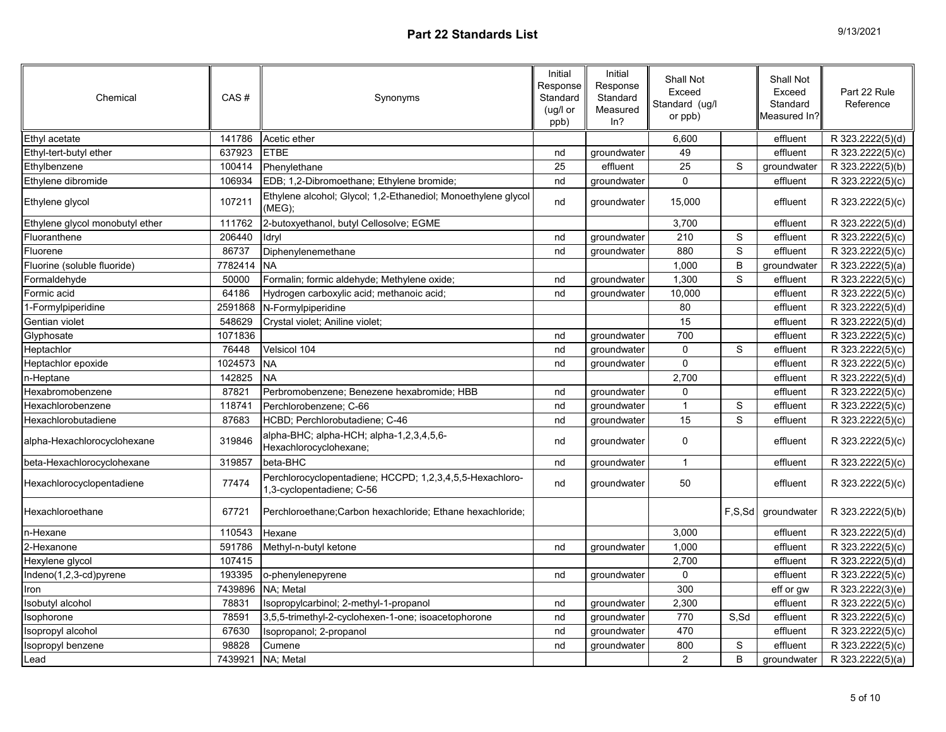| Chemical                        | CAS#    | Synonyms                                                                              | Initial<br>Response<br>Standard<br>(ug/l or<br>ppb) | Initial<br>Response<br>Standard<br>Measured<br>ln? | Shall Not<br>Exceed<br>Standard (ug/l<br>or ppb) |                | Shall Not<br>Exceed<br>Standard<br>Measured In? | Part 22 Rule<br>Reference     |
|---------------------------------|---------|---------------------------------------------------------------------------------------|-----------------------------------------------------|----------------------------------------------------|--------------------------------------------------|----------------|-------------------------------------------------|-------------------------------|
| Ethyl acetate                   | 141786  | Acetic ether                                                                          |                                                     |                                                    | 6,600                                            |                | effluent                                        | R 323.2222(5)(d)              |
| Ethyl-tert-butyl ether          | 637923  | <b>ETBE</b>                                                                           | nd                                                  | groundwater                                        | 49                                               |                | effluent                                        | R 323.2222(5)(c)              |
| Ethylbenzene                    | 100414  | Phenylethane                                                                          | 25                                                  | effluent                                           | $\overline{25}$                                  | $\mathbb S$    | groundwater                                     | R 323.2222(5)(b)              |
| Ethylene dibromide              | 106934  | EDB; 1,2-Dibromoethane; Ethylene bromide;                                             | nd                                                  | groundwater                                        | $\overline{0}$                                   |                | effluent                                        | R 323.2222(5)(c)              |
| Ethylene glycol                 | 107211  | Ethylene alcohol; Glycol; 1,2-Ethanediol; Monoethylene glycol<br>(MEG);               | nd                                                  | groundwater                                        | 15,000                                           |                | effluent                                        | R 323.2222(5)(c)              |
| Ethylene glycol monobutyl ether | 111762  | 2-butoxyethanol, butyl Cellosolve; EGME                                               |                                                     |                                                    | 3,700                                            |                | effluent                                        | R 323.2222(5)(d)              |
| Fluoranthene                    | 206440  | ldryl                                                                                 | nd                                                  | groundwater                                        | 210                                              | S              | effluent                                        | R 323.2222(5)(c)              |
| Fluorene                        | 86737   | Diphenylenemethane                                                                    | nd                                                  | groundwater                                        | 880                                              | $\mathbb S$    | effluent                                        | R 323.2222(5)(c)              |
| Fluorine (soluble fluoride)     | 7782414 | <b>NA</b>                                                                             |                                                     |                                                    | 1,000                                            | B              | groundwater                                     | R 323.2222(5)(a)              |
| Formaldehyde                    | 50000   | Formalin; formic aldehyde; Methylene oxide;                                           | nd                                                  | groundwater                                        | 1,300                                            | $\mathbb S$    | effluent                                        | R 323.2222(5)(c)              |
| Formic acid                     | 64186   | Hydrogen carboxylic acid; methanoic acid;                                             | nd                                                  | groundwater                                        | 10,000                                           |                | effluent                                        | R 323.2222(5)(c)              |
| 1-Formylpiperidine              | 2591868 | N-Formylpiperidine                                                                    |                                                     |                                                    | 80                                               |                | effluent                                        | R 323.2222(5)(d)              |
| Gentian violet                  | 548629  | Crystal violet; Aniline violet;                                                       |                                                     |                                                    | 15                                               |                | effluent                                        | R 323.2222(5)(d)              |
| Glyphosate                      | 1071836 |                                                                                       | nd                                                  | groundwater                                        | 700                                              |                | effluent                                        | R 323.2222(5)(c)              |
| Heptachlor                      | 76448   | Velsicol 104                                                                          | nd                                                  | groundwater                                        | $\pmb{0}$                                        | S              | effluent                                        | R 323.2222(5)(c)              |
| Heptachlor epoxide              | 1024573 | <b>NA</b>                                                                             | nd                                                  | groundwater                                        | $\Omega$                                         |                | effluent                                        | R 323.2222(5)(c)              |
| n-Heptane                       | 142825  | <b>NA</b>                                                                             |                                                     |                                                    | 2,700                                            |                | effluent                                        | R 323.2222(5)(d)              |
| Hexabromobenzene                | 87821   | Perbromobenzene; Benezene hexabromide; HBB                                            | nd                                                  | groundwater                                        | $\Omega$                                         |                | effluent                                        | R 323.2222(5)(c)              |
| Hexachlorobenzene               | 118741  | Perchlorobenzene: C-66                                                                | nd                                                  | groundwater                                        | $\mathbf{1}$                                     | ${\tt S}$      | effluent                                        | R 323.2222(5)(c)              |
| Hexachlorobutadiene             | 87683   | HCBD; Perchlorobutadiene; C-46                                                        | nd                                                  | groundwater                                        | 15                                               | $\mathbf S$    | effluent                                        | R 323.2222(5)(c)              |
| alpha-Hexachlorocyclohexane     | 319846  | alpha-BHC; alpha-HCH; alpha-1,2,3,4,5,6-<br>Hexachlorocyclohexane;                    | nd                                                  | groundwater                                        | $\mathbf 0$                                      |                | effluent                                        | R 323.2222(5)(c)              |
| beta-Hexachlorocyclohexane      | 319857  | beta-BHC                                                                              | nd                                                  | groundwater                                        | $\mathbf{1}$                                     |                | effluent                                        | R 323.2222(5)(c)              |
| Hexachlorocyclopentadiene       | 77474   | Perchlorocyclopentadiene; HCCPD; 1,2,3,4,5,5-Hexachloro-<br>1,3-cyclopentadiene; C-56 | nd                                                  | groundwater                                        | 50                                               |                | effluent                                        | R 323.2222(5)(c)              |
| Hexachloroethane                | 67721   | Perchloroethane; Carbon hexachloride; Ethane hexachloride;                            |                                                     |                                                    |                                                  |                | F,S,Sd groundwater                              | R 323.2222(5)(b)              |
| n-Hexane                        | 110543  | Hexane                                                                                |                                                     |                                                    | 3,000                                            |                | effluent                                        | R 323.2222(5)(d)              |
| 2-Hexanone                      | 591786  | Methyl-n-butyl ketone                                                                 | nd                                                  | groundwater                                        | 1,000                                            |                | effluent                                        | $\overline{R}$ 323.2222(5)(c) |
| Hexylene glycol                 | 107415  |                                                                                       |                                                     |                                                    | 2,700                                            |                | effluent                                        | R 323.2222(5)(d)              |
| Indeno(1,2,3-cd)pyrene          | 193395  | o-phenylenepyrene                                                                     | nd                                                  | groundwater                                        | $\mathbf 0$                                      |                | effluent                                        | R 323.2222(5)(c)              |
| Iron                            | 7439896 | NA: Metal                                                                             |                                                     |                                                    | 300                                              |                | eff or gw                                       | R 323.2222(3)(e)              |
| Isobutyl alcohol                | 78831   | Isopropylcarbinol; 2-methyl-1-propanol                                                | nd                                                  | groundwater                                        | 2,300                                            |                | effluent                                        | R 323.2222(5)(c)              |
| Isophorone                      | 78591   | 3,5,5-trimethyl-2-cyclohexen-1-one; isoacetophorone                                   | nd                                                  | groundwater                                        | 770                                              | S,Sd           | effluent                                        | R 323.2222(5)(c)              |
| Isopropyl alcohol               | 67630   | Isopropanol; 2-propanol                                                               | nd                                                  | groundwater                                        | 470                                              |                | effluent                                        | R 323.2222(5)(c)              |
| Isopropyl benzene               | 98828   | Cumene                                                                                | nd                                                  | groundwater                                        | 800                                              | S              | effluent                                        | R 323.2222(5)(c)              |
| Lead                            | 7439921 | NA; Metal                                                                             |                                                     |                                                    | $\overline{2}$                                   | $\overline{B}$ | groundwater                                     | R 323.2222(5)(a)              |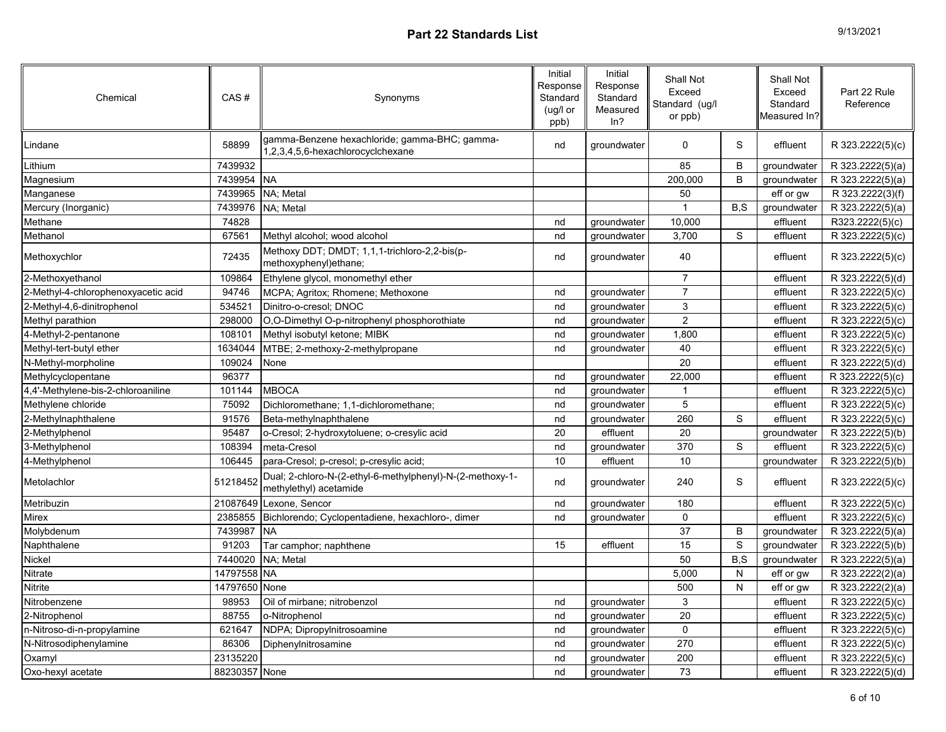| 9/13/2021 |  |
|-----------|--|
|-----------|--|

| Chemical                            | CAS#          | Synonyms                                                                            | Initial<br>Response<br>Standard<br>(ug/l or<br>ppb) | Initial<br>Response<br>Standard<br>Measured<br>ln? | Shall Not<br>Exceed<br>Standard (ug/l<br>or ppb) |              | Shall Not<br>Exceed<br>Standard<br>Measured In?l | Part 22 Rule<br>Reference |
|-------------------------------------|---------------|-------------------------------------------------------------------------------------|-----------------------------------------------------|----------------------------------------------------|--------------------------------------------------|--------------|--------------------------------------------------|---------------------------|
| Lindane                             | 58899         | gamma-Benzene hexachloride; gamma-BHC; gamma-<br>1,2,3,4,5,6-hexachlorocyclchexane  | nd                                                  | groundwater                                        | $\mathbf 0$                                      | S            | effluent                                         | R 323.2222(5)(c)          |
| _ithium                             | 7439932       |                                                                                     |                                                     |                                                    | 85                                               | B            | groundwater                                      | R 323.2222(5)(a)          |
| Magnesium                           | 7439954 NA    |                                                                                     |                                                     |                                                    | 200,000                                          | B            | groundwater                                      | R 323.2222(5)(a)          |
| Manganese                           | 7439965       | NA; Metal                                                                           |                                                     |                                                    | 50                                               |              | eff or gw                                        | R 323.2222(3)(f)          |
| Mercury (Inorganic)                 | 7439976       | NA; Metal                                                                           |                                                     |                                                    | $\overline{1}$                                   | B, S         | groundwater                                      | R 323.2222(5)(a)          |
| Methane                             | 74828         |                                                                                     | nd                                                  | groundwater                                        | 10,000                                           |              | effluent                                         | R323.2222(5)(c)           |
| Methanol                            | 67561         | Methyl alcohol; wood alcohol                                                        | nd                                                  | groundwater                                        | 3,700                                            | S            | effluent                                         | R 323.2222(5)(c)          |
| Methoxychlor                        | 72435         | Methoxy DDT; DMDT; 1,1,1-trichloro-2,2-bis(p-<br>methoxyphenyl)ethane;              | nd                                                  | groundwater                                        | 40                                               |              | effluent                                         | R 323.2222(5)(c)          |
| 2-Methoxyethanol                    | 109864        | Ethylene glycol, monomethyl ether                                                   |                                                     |                                                    | $\overline{7}$                                   |              | effluent                                         | R 323.2222(5)(d)          |
| 2-Methyl-4-chlorophenoxyacetic acid | 94746         | MCPA; Agritox; Rhomene; Methoxone                                                   | nd                                                  | groundwater                                        | $\overline{7}$                                   |              | effluent                                         | R 323.2222(5)(c)          |
| 2-Methyl-4,6-dinitrophenol          | 534521        | Dinitro-o-cresol; DNOC                                                              | nd                                                  | groundwater                                        | 3                                                |              | effluent                                         | R 323.2222(5)(c)          |
| Methyl parathion                    | 298000        | O,O-Dimethyl O-p-nitrophenyl phosphorothiate                                        | nd                                                  | groundwater                                        | $\overline{2}$                                   |              | effluent                                         | R 323.2222(5)(c)          |
| 4-Methyl-2-pentanone                | 108101        | Methyl isobutyl ketone; MIBK                                                        | nd                                                  | groundwater                                        | 1,800                                            |              | effluent                                         | R 323.2222(5)(c)          |
| Methyl-tert-butyl ether             | 1634044       | MTBE; 2-methoxy-2-methylpropane                                                     | nd                                                  | groundwater                                        | 40                                               |              | effluent                                         | R 323.2222(5)(c)          |
| N-Methyl-morpholine                 | 109024        | None                                                                                |                                                     |                                                    | 20                                               |              | effluent                                         | R 323.2222(5)(d)          |
| Methylcyclopentane                  | 96377         |                                                                                     | nd                                                  | groundwater                                        | 22,000                                           |              | effluent                                         | R 323.2222(5)(c)          |
| 4,4'-Methylene-bis-2-chloroaniline  | 101144        | <b>MBOCA</b>                                                                        | nd                                                  | groundwater                                        | $\overline{1}$                                   |              | effluent                                         | R 323.2222(5)(c)          |
| Methylene chloride                  | 75092         | Dichloromethane; 1,1-dichloromethane;                                               | nd                                                  | groundwater                                        | $\sqrt{5}$                                       |              | effluent                                         | R 323.2222(5)(c)          |
| 2-Methylnaphthalene                 | 91576         | Beta-methylnaphthalene                                                              | nd                                                  | groundwater                                        | 260                                              | S            | effluent                                         | R 323.2222(5)(c)          |
| 2-Methylphenol                      | 95487         | o-Cresol; 2-hydroxytoluene; o-cresylic acid                                         | 20                                                  | effluent                                           | 20                                               |              | groundwater                                      | R 323.2222(5)(b)          |
| 3-Methylphenol                      | 108394        | meta-Cresol                                                                         | nd                                                  | groundwater                                        | 370                                              | $\mathbf S$  | effluent                                         | R 323.2222(5)(c)          |
| 4-Methylphenol                      | 106445        | para-Cresol; p-cresol; p-cresylic acid;                                             | 10                                                  | effluent                                           | 10                                               |              | groundwater                                      | R 323.2222(5)(b)          |
| Metolachlor                         | 51218452      | Dual; 2-chloro-N-(2-ethyl-6-methylphenyl)-N-(2-methoxy-1-<br>methylethyl) acetamide | nd                                                  | groundwater                                        | 240                                              | S            | effluent                                         | R 323.2222(5)(c)          |
| Metribuzin                          | 21087649      | Lexone, Sencor                                                                      | nd                                                  | groundwater                                        | 180                                              |              | effluent                                         | R 323.2222(5)(c)          |
| Mirex                               | 2385855       | Bichlorendo; Cyclopentadiene, hexachloro-, dimer                                    | nd                                                  | groundwater                                        | $\mathbf 0$                                      |              | effluent                                         | R 323.2222(5)(c)          |
| Molybdenum                          | 7439987       | <b>NA</b>                                                                           |                                                     |                                                    | 37                                               | B            | groundwater                                      | R 323.2222(5)(a)          |
| Naphthalene                         | 91203         | Tar camphor; naphthene                                                              | 15                                                  | effluent                                           | 15                                               | $\mathbf S$  | groundwater                                      | R 323.2222(5)(b)          |
| Nickel                              | 7440020       | NA; Metal                                                                           |                                                     |                                                    | 50                                               | B, S         | groundwater                                      | R 323.2222(5)(a)          |
| Nitrate                             | 14797558 NA   |                                                                                     |                                                     |                                                    | 5,000                                            | $\mathsf{N}$ | eff or gw                                        | R 323.2222(2)(a)          |
| Nitrite                             | 14797650 None |                                                                                     |                                                     |                                                    | 500                                              | N            | eff or gw                                        | R 323.2222(2)(a)          |
| Nitrobenzene                        | 98953         | Oil of mirbane; nitrobenzol                                                         | nd                                                  | groundwater                                        | 3                                                |              | effluent                                         | R 323.2222(5)(c)          |
| 2-Nitrophenol                       | 88755         | o-Nitrophenol                                                                       | nd                                                  | groundwater                                        | 20                                               |              | effluent                                         | R 323.2222(5)(c)          |
| n-Nitroso-di-n-propylamine          | 621647        | NDPA; Dipropylnitrosoamine                                                          | nd                                                  | groundwater                                        | $\mathbf 0$                                      |              | effluent                                         | R 323.2222(5)(c)          |
| N-Nitrosodiphenylamine              | 86306         | Diphenylnitrosamine                                                                 | nd                                                  | groundwater                                        | 270                                              |              | effluent                                         | R 323.2222(5)(c)          |
| Oxamyl                              | 23135220      |                                                                                     | nd                                                  | groundwater                                        | 200                                              |              | effluent                                         | R 323.2222(5)(c)          |
| Oxo-hexyl acetate                   | 88230357 None |                                                                                     | nd                                                  | groundwater                                        | $\overline{73}$                                  |              | effluent                                         | R 323.2222(5)(d)          |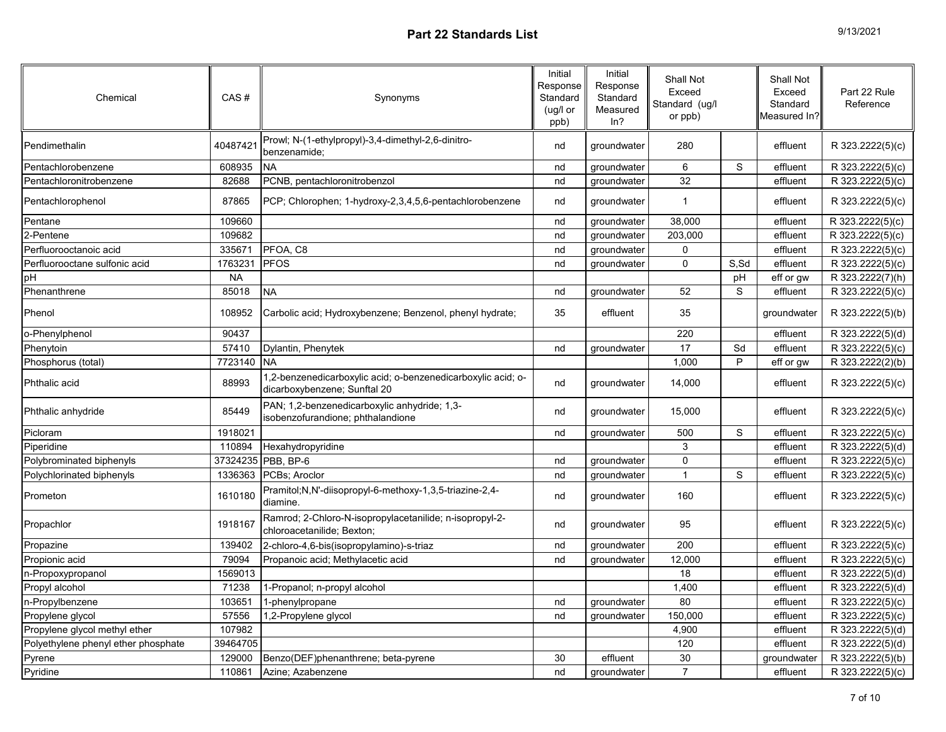| Chemical                            | CAS#      | Synonyms                                                                                     | Initial<br>Response<br>Standard<br>(ug/l or<br>ppb) | Initial<br>Response<br>Standard<br>Measured<br>ln? | Shall Not<br>Exceed<br>Standard (ug/l<br>or ppb) |             | Shall Not<br>Exceed<br>Standard<br>Measured In? | Part 22 Rule<br>Reference     |
|-------------------------------------|-----------|----------------------------------------------------------------------------------------------|-----------------------------------------------------|----------------------------------------------------|--------------------------------------------------|-------------|-------------------------------------------------|-------------------------------|
| Pendimethalin                       | 40487421  | Prowl; N-(1-ethylpropyl)-3,4-dimethyl-2,6-dinitro-<br>benzenamide:                           | nd                                                  | groundwater                                        | 280                                              |             | effluent                                        | R 323.2222(5)(c)              |
| Pentachlorobenzene                  | 608935    | <b>NA</b>                                                                                    | nd                                                  | groundwater                                        | $\,6$                                            | S           | effluent                                        | R 323.2222(5)(c)              |
| Pentachloronitrobenzene             | 82688     | PCNB, pentachloronitrobenzol                                                                 | nd                                                  | groundwater                                        | 32                                               |             | effluent                                        | $\overline{R}$ 323.2222(5)(c) |
| Pentachlorophenol                   | 87865     | PCP; Chlorophen; 1-hydroxy-2,3,4,5,6-pentachlorobenzene                                      | nd                                                  | groundwater                                        | $\mathbf{1}$                                     |             | effluent                                        | R 323.2222(5)(c)              |
| Pentane                             | 109660    |                                                                                              | nd                                                  | groundwater                                        | 38,000                                           |             | effluent                                        | R 323.2222(5)(c)              |
| 2-Pentene                           | 109682    |                                                                                              | nd                                                  | groundwater                                        | 203,000                                          |             | effluent                                        | R 323.2222(5)(c)              |
| Perfluorooctanoic acid              | 335671    | PFOA, C8                                                                                     | nd                                                  | groundwater                                        | 0                                                |             | effluent                                        | R 323.2222(5)(c)              |
| Perfluorooctane sulfonic acid       | 1763231   | <b>PFOS</b>                                                                                  | nd                                                  | groundwater                                        | 0                                                | S,Sd        | effluent                                        | R 323.2222(5)(c)              |
| pH                                  | <b>NA</b> |                                                                                              |                                                     |                                                    |                                                  | pH          | eff or gw                                       | R 323.2222(7)(h)              |
| Phenanthrene                        | 85018     | <b>NA</b>                                                                                    | nd                                                  | groundwater                                        | 52                                               | S           | effluent                                        | R 323.2222(5)(c)              |
| Phenol                              | 108952    | Carbolic acid; Hydroxybenzene; Benzenol, phenyl hydrate;                                     | 35                                                  | effluent                                           | 35                                               |             | groundwater                                     | R 323.2222(5)(b)              |
| o-Phenylphenol                      | 90437     |                                                                                              |                                                     |                                                    | 220                                              |             | effluent                                        | R 323.2222(5)(d)              |
| Phenytoin                           | 57410     | Dylantin, Phenytek                                                                           | nd                                                  | groundwater                                        | $\overline{17}$                                  | Sd          | effluent                                        | R 323.2222(5)(c)              |
| Phosphorus (total)                  | 7723140   | <b>NA</b>                                                                                    |                                                     |                                                    | 1,000                                            | $\sf P$     | eff or gw                                       | R 323.2222(2)(b)              |
| Phthalic acid                       | 88993     | 1,2-benzenedicarboxylic acid; o-benzenedicarboxylic acid; o-<br>dicarboxybenzene; Sunftal 20 | nd                                                  | groundwater                                        | 14,000                                           |             | effluent                                        | R 323.2222(5)(c)              |
| Phthalic anhydride                  | 85449     | PAN; 1,2-benzenedicarboxylic anhydride; 1,3-<br>isobenzofurandione; phthalandione            | nd                                                  | groundwater                                        | 15,000                                           |             | effluent                                        | R 323.2222(5)(c)              |
| Picloram                            | 1918021   |                                                                                              | nd                                                  | groundwater                                        | 500                                              | $\mathbf S$ | effluent                                        | R 323.2222(5)(c)              |
| Piperidine                          | 110894    | Hexahydropyridine                                                                            |                                                     |                                                    | 3                                                |             | effluent                                        | R 323.2222(5)(d)              |
| Polybrominated biphenyls            | 37324235  | PBB, BP-6                                                                                    | nd                                                  | groundwater                                        | 0                                                |             | effluent                                        | R 323.2222(5)(c)              |
| Polychlorinated biphenyls           | 1336363   | PCBs; Aroclor                                                                                | nd                                                  | groundwater                                        | $\mathbf{1}$                                     | S           | effluent                                        | R 323.2222(5)(c)              |
| Prometon                            | 1610180   | Pramitol;N,N'-diisopropyl-6-methoxy-1,3,5-triazine-2,4-<br>diamine.                          | nd                                                  | groundwater                                        | 160                                              |             | effluent                                        | R 323.2222(5)(c)              |
| Propachlor                          | 1918167   | Ramrod; 2-Chloro-N-isopropylacetanilide; n-isopropyl-2-<br>chloroacetanilide; Bexton;        | nd                                                  | groundwater                                        | 95                                               |             | effluent                                        | R 323.2222(5)(c)              |
| Propazine                           | 139402    | 2-chloro-4,6-bis(isopropylamino)-s-triaz                                                     | nd                                                  | groundwater                                        | 200                                              |             | effluent                                        | R 323.2222(5)(c)              |
| Propionic acid                      | 79094     | Propanoic acid; Methylacetic acid                                                            | nd                                                  | groundwater                                        | 12,000                                           |             | effluent                                        | R 323.2222(5)(c)              |
| n-Propoxypropanol                   | 1569013   |                                                                                              |                                                     |                                                    | 18                                               |             | effluent                                        | R 323.2222(5)(d)              |
| Propyl alcohol                      | 71238     | 1-Propanol; n-propyl alcohol                                                                 |                                                     |                                                    | 1,400                                            |             | effluent                                        | R 323.2222(5)(d)              |
| n-Propylbenzene                     | 103651    | 1-phenylpropane                                                                              | nd                                                  | groundwater                                        | 80                                               |             | effluent                                        | R 323.2222(5)(c)              |
| Propylene glycol                    | 57556     | 1,2-Propylene glycol                                                                         | nd                                                  | groundwater                                        | 150,000                                          |             | effluent                                        | R 323.2222(5)(c)              |
| Propylene glycol methyl ether       | 107982    |                                                                                              |                                                     |                                                    | 4,900                                            |             | effluent                                        | R 323.2222(5)(d)              |
| Polyethylene phenyl ether phosphate | 39464705  |                                                                                              |                                                     |                                                    | 120                                              |             | effluent                                        | R 323.2222(5)(d)              |
| Pyrene                              | 129000    | Benzo(DEF)phenanthrene; beta-pyrene                                                          | 30                                                  | effluent                                           | 30                                               |             | groundwater                                     | R 323.2222(5)(b)              |
| Pyridine                            | 110861    | Azine; Azabenzene                                                                            | nd                                                  | groundwater                                        | $\overline{7}$                                   |             | effluent                                        | R 323.2222(5)(c)              |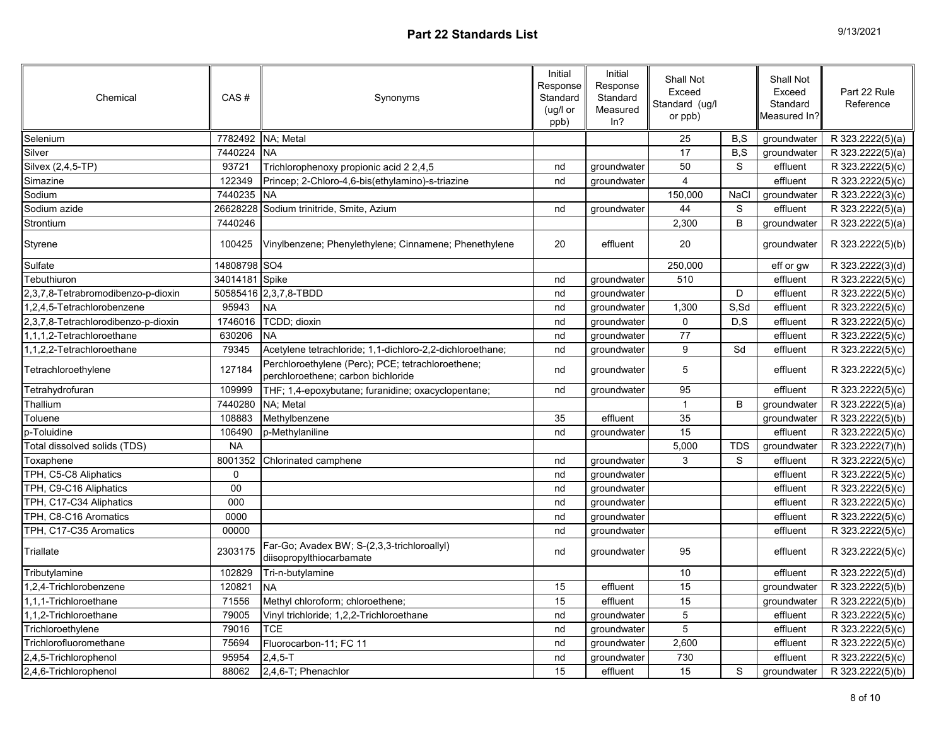| 9/13/2021 |  |
|-----------|--|
|-----------|--|

| Chemical                            | CAS#           | Synonyms                                                                                | Initial<br>Response<br>Standard<br>(ug/l or<br>ppb) | Initial<br>Response<br>Standard<br>Measured<br>ln? | Shall Not<br>Exceed<br>Standard (ug/l<br>or ppb) |             | <b>Shall Not</b><br>Exceed<br>Standard<br>Measured In? | Part 22 Rule<br>Reference |
|-------------------------------------|----------------|-----------------------------------------------------------------------------------------|-----------------------------------------------------|----------------------------------------------------|--------------------------------------------------|-------------|--------------------------------------------------------|---------------------------|
| Selenium                            | 7782492        | NA; Metal                                                                               |                                                     |                                                    | 25                                               | B,S         | groundwater                                            | R 323.2222(5)(a)          |
| Silver                              | 7440224        | <b>NA</b>                                                                               |                                                     |                                                    | 17                                               | B, S        | groundwater                                            | R 323.2222(5)(a)          |
| Silvex (2,4,5-TP)                   | 93721          | Trichlorophenoxy propionic acid 2 2,4,5                                                 | nd                                                  | groundwater                                        | 50                                               | $\mathbb S$ | effluent                                               | R 323.2222(5)(c)          |
| Simazine                            | 122349         | Princep; 2-Chloro-4,6-bis(ethylamino)-s-triazine                                        | nd                                                  | groundwater                                        | $\overline{\mathbf{4}}$                          |             | effluent                                               | R 323.2222(5)(c)          |
| Sodium                              | 7440235        | <b>NA</b>                                                                               |                                                     |                                                    | 150,000                                          | NaCl        | groundwater                                            | R 323.2222(3)(c)          |
| Sodium azide                        |                | 26628228 Sodium trinitride, Smite, Azium                                                | nd                                                  | groundwater                                        | 44                                               | S           | effluent                                               | R 323.2222(5)(a)          |
| Strontium                           | 7440246        |                                                                                         |                                                     |                                                    | 2,300                                            | B           | groundwater                                            | R 323.2222(5)(a)          |
| Styrene                             | 100425         | Vinylbenzene; Phenylethylene; Cinnamene; Phenethylene                                   | 20                                                  | effluent                                           | 20                                               |             | groundwater                                            | R 323.2222(5)(b)          |
| Sulfate                             | 14808798 SO4   |                                                                                         |                                                     |                                                    | 250,000                                          |             | eff or gw                                              | R 323.2222(3)(d)          |
| Tebuthiuron                         | 34014181 Spike |                                                                                         | nd                                                  | groundwater                                        | 510                                              |             | effluent                                               | R 323.2222(5)(c)          |
| 2,3,7,8-Tetrabromodibenzo-p-dioxin  |                | 50585416 2,3,7,8-TBDD                                                                   | nd                                                  | groundwater                                        |                                                  | D           | effluent                                               | R 323.2222(5)(c)          |
| 1,2,4,5-Tetrachlorobenzene          | 95943          | <b>NA</b>                                                                               | nd                                                  | groundwater                                        | 1,300                                            | S, Sd       | effluent                                               | R 323.2222(5)(c)          |
| 2,3,7,8-Tetrachlorodibenzo-p-dioxin | 1746016        | TCDD; dioxin                                                                            | nd                                                  | groundwater                                        | 0                                                | D, S        | effluent                                               | R 323.2222(5)(c)          |
| 1,1,1,2-Tetrachloroethane           | 630206         | <b>NA</b>                                                                               | nd                                                  | groundwater                                        | 77                                               |             | effluent                                               | R 323.2222(5)(c)          |
| 1,1,2,2-Tetrachloroethane           | 79345          | Acetylene tetrachloride; 1,1-dichloro-2,2-dichloroethane;                               | nd                                                  | groundwater                                        | 9                                                | Sd          | effluent                                               | R 323.2222(5)(c)          |
| Tetrachloroethylene                 | 127184         | Perchloroethylene (Perc); PCE; tetrachloroethene;<br>perchloroethene; carbon bichloride | nd                                                  | groundwater                                        | 5                                                |             | effluent                                               | R 323.2222(5)(c)          |
| Tetrahydrofuran                     | 109999         | THF; 1,4-epoxybutane; furanidine; oxacyclopentane;                                      | nd                                                  | groundwater                                        | 95                                               |             | effluent                                               | R 323.2222(5)(c)          |
| Thallium                            | 7440280        | NA; Metal                                                                               |                                                     |                                                    | $\mathbf{1}$                                     | B           | groundwater                                            | R 323.2222(5)(a)          |
| Toluene                             | 108883         | Methylbenzene                                                                           | 35                                                  | effluent                                           | 35                                               |             | groundwater                                            | R 323.2222(5)(b)          |
| p-Toluidine                         | 106490         | p-Methylaniline                                                                         | nd                                                  | groundwater                                        | 15                                               |             | effluent                                               | R 323.2222(5)(c)          |
| Total dissolved solids (TDS)        | <b>NA</b>      |                                                                                         |                                                     |                                                    | 5,000                                            | <b>TDS</b>  | groundwater                                            | R 323.2222(7)(h)          |
| Toxaphene                           | 8001352        | Chlorinated camphene                                                                    | nd                                                  | groundwater                                        | 3                                                | S           | effluent                                               | R 323.2222(5)(c)          |
| TPH, C5-C8 Aliphatics               | 0              |                                                                                         | nd                                                  | groundwater                                        |                                                  |             | effluent                                               | R 323.2222(5)(c)          |
| TPH, C9-C16 Aliphatics              | $00\,$         |                                                                                         | nd                                                  | groundwater                                        |                                                  |             | effluent                                               | R 323.2222(5)(c)          |
| TPH, C17-C34 Aliphatics             | 000            |                                                                                         | nd                                                  | groundwater                                        |                                                  |             | effluent                                               | R 323.2222(5)(c)          |
| TPH, C8-C16 Aromatics               | 0000           |                                                                                         | nd                                                  | groundwater                                        |                                                  |             | effluent                                               | R 323.2222(5)(c)          |
| TPH, C17-C35 Aromatics              | 00000          |                                                                                         | nd                                                  | groundwater                                        |                                                  |             | effluent                                               | R 323.2222(5)(c)          |
| Triallate                           | 2303175        | Far-Go; Avadex BW; S-(2,3,3-trichloroallyl)<br>diisopropylthiocarbamate                 | nd                                                  | groundwater                                        | 95                                               |             | effluent                                               | R 323.2222(5)(c)          |
| Tributylamine                       | 102829         | Tri-n-butylamine                                                                        |                                                     |                                                    | 10                                               |             | effluent                                               | R 323.2222(5)(d)          |
| 1,2,4-Trichlorobenzene              | 120821         | <b>NA</b>                                                                               | 15                                                  | effluent                                           | 15                                               |             | groundwater                                            | R 323.2222(5)(b)          |
| 1,1,1-Trichloroethane               | 71556          | Methyl chloroform; chloroethene;                                                        | 15                                                  | effluent                                           | $\overline{15}$                                  |             | groundwater                                            | R 323.2222(5)(b)          |
| 1,1,2-Trichloroethane               | 79005          | Vinyl trichloride; 1,2,2-Trichloroethane                                                | nd                                                  | groundwater                                        | $\mathbf 5$                                      |             | effluent                                               | R 323.2222(5)(c)          |
| Trichloroethylene                   | 79016          | <b>TCE</b>                                                                              | nd                                                  | groundwater                                        | 5                                                |             | effluent                                               | R 323.2222(5)(c)          |
| Trichlorofluoromethane              | 75694          | Fluorocarbon-11; FC 11                                                                  | nd                                                  | groundwater                                        | 2,600                                            |             | effluent                                               | R 323.2222(5)(c)          |
| 2,4,5-Trichlorophenol               | 95954          | $2,4,5 - T$                                                                             | nd                                                  | groundwater                                        | 730                                              |             | effluent                                               | R 323.2222(5)(c)          |
| 2,4,6-Trichlorophenol               | 88062          | 2,4,6-T; Phenachlor                                                                     | 15                                                  | effluent                                           | 15                                               | S           | groundwater                                            | R 323.2222(5)(b)          |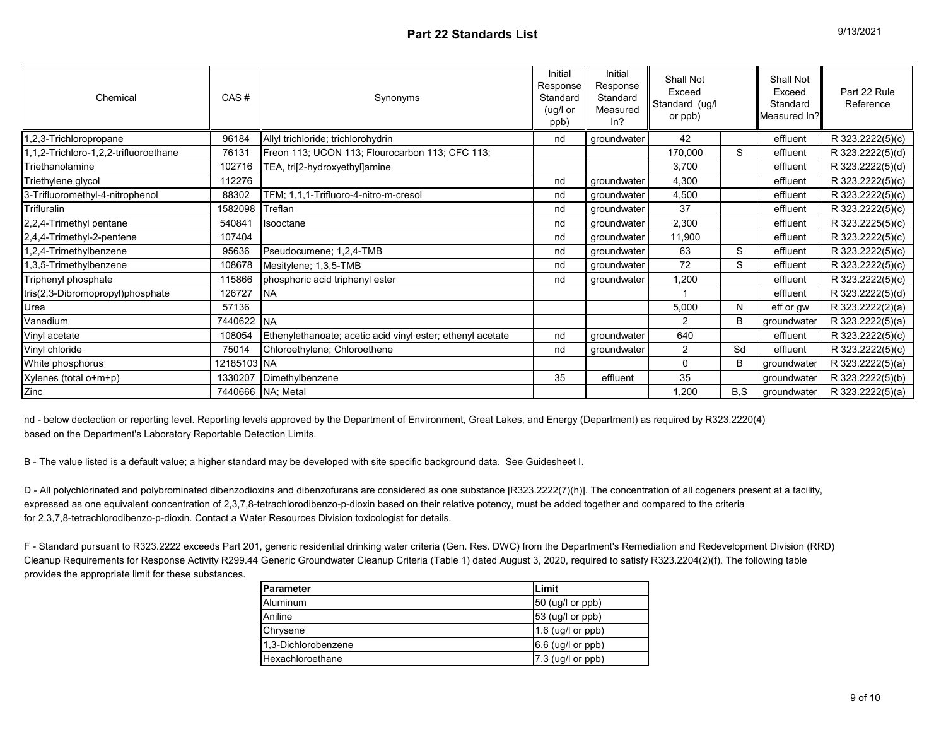| Chemical                              | CAS#                | Synonyms                                                   | Initial<br>Response<br>Standard<br>(ug/l or<br>ppb) | Initial<br>Response<br>Standard<br>Measured<br>ln? | Shall Not<br>Exceed<br>Standard (ug/l<br>or ppb) |     | Shall Not<br>Exceed<br>Standard<br>Measured In? | Part 22 Rule<br>Reference |
|---------------------------------------|---------------------|------------------------------------------------------------|-----------------------------------------------------|----------------------------------------------------|--------------------------------------------------|-----|-------------------------------------------------|---------------------------|
| ,2,3-Trichloropropane                 | 96184               | Allyl trichloride; trichlorohydrin                         | nd                                                  | groundwater                                        | 42                                               |     | effluent                                        | R 323.2222(5)(c)          |
| 1,1,2-Trichloro-1,2,2-trifluoroethane | 76131               | Freon 113; UCON 113; Flourocarbon 113; CFC 113;            |                                                     |                                                    | 170,000                                          | S   | effluent                                        | R 323.2222(5)(d)          |
| Triethanolamine                       | 102716              | TEA, tri[2-hydroxyethyl]amine                              |                                                     |                                                    | 3,700                                            |     | effluent                                        | R 323.2222(5)(d)          |
| Triethylene glycol                    | 112276              |                                                            | nd                                                  | groundwater                                        | 4,300                                            |     | effluent                                        | R 323.2222(5)(c)          |
| 3-Trifluoromethyl-4-nitrophenol       | 88302               | TFM; 1,1,1-Trifluoro-4-nitro-m-cresol                      | nd                                                  | groundwater                                        | 4,500                                            |     | effluent                                        | R 323.2222(5)(c)          |
| Trifluralin                           | 1582098             | Treflan                                                    | nd                                                  | groundwater                                        | 37                                               |     | effluent                                        | R 323.2222(5)(c)          |
| 2,2,4-Trimethyl pentane               | 540841              | Isooctane                                                  | nd                                                  | groundwater                                        | 2,300                                            |     | effluent                                        | R 323.2225(5)(c)          |
| 2,4,4-Trimethyl-2-pentene             | 107404              |                                                            | nd                                                  | groundwater                                        | 11,900                                           |     | effluent                                        | R 323.2222(5)(c)          |
| 1,2,4-Trimethylbenzene                | 95636               | Pseudocumene; 1,2,4-TMB                                    | nd                                                  | groundwater                                        | 63                                               | S   | effluent                                        | R 323.2222(5)(c)          |
| 1,3,5-Trimethylbenzene                | 108678              | Mesitylene; 1,3,5-TMB                                      | nd                                                  | groundwater                                        | 72                                               | S   | effluent                                        | R 323.2222(5)(c)          |
| Triphenyl phosphate                   | 115866              | phosphoric acid triphenyl ester                            | nd                                                  | groundwater                                        | 1,200                                            |     | effluent                                        | R 323.2222(5)(c)          |
| tris(2,3-Dibromopropyl)phosphate      | 126727              | <b>NA</b>                                                  |                                                     |                                                    |                                                  |     | effluent                                        | R 323.2222(5)(d)          |
| Urea                                  | 57136               |                                                            |                                                     |                                                    | 5,000                                            | N   | eff or gw                                       | R 323.2222(2)(a)          |
| Vanadium                              | 7440622 NA          |                                                            |                                                     |                                                    | 2                                                | B   | groundwater                                     | R 323.2222(5)(a)          |
| Vinyl acetate                         | 108054              | Ethenylethanoate; acetic acid vinyl ester; ethenyl acetate | nd                                                  | groundwater                                        | 640                                              |     | effluent                                        | R 323.2222(5)(c)          |
| Vinyl chloride                        | 75014               | Chloroethylene; Chloroethene                               | nd                                                  | groundwater                                        | $\overline{2}$                                   | Sd  | effluent                                        | R 323.2222(5)(c)          |
| White phosphorus                      | 12185103 NA         |                                                            |                                                     |                                                    | 0                                                | B   | groundwater                                     | R 323.2222(5)(a)          |
| Xylenes (total o+m+p)                 | 1330207             | Dimethylbenzene                                            | 35                                                  | effluent                                           | 35                                               |     | groundwater                                     | R 323.2222(5)(b)          |
| Zinc                                  | 7440666   NA; Metal |                                                            |                                                     |                                                    | 1,200                                            | B,S | groundwater                                     | R 323.2222(5)(a)          |

nd - below dectection or reporting level. Reporting levels approved by the Department of Environment, Great Lakes, and Energy (Department) as required by R323.2220(4) based on the Department's Laboratory Reportable Detection Limits.

B - The value listed is a default value; a higher standard may be developed with site specific background data. See Guidesheet I.

D - All polychlorinated and polybrominated dibenzodioxins and dibenzofurans are considered as one substance [R323.2222(7)(h)]. The concentration of all cogeners present at a facility, expressed as one equivalent concentration of 2,3,7,8-tetrachlorodibenzo-p-dioxin based on their relative potency, must be added together and compared to the criteria for 2,3,7,8-tetrachlorodibenzo-p-dioxin. Contact a Water Resources Division toxicologist for details.

F - Standard pursuant to R323.2222 exceeds Part 201, generic residential drinking water criteria (Gen. Res. DWC) from the Department's Remediation and Redevelopment Division (RRD) Cleanup Requirements for Response Activity R299.44 Generic Groundwater Cleanup Criteria (Table 1) dated August 3, 2020, required to satisfy R323.2204(2)(f). The following table provides the appropriate limit for these substances.

| Parameter           | Limit                   |  |  |  |
|---------------------|-------------------------|--|--|--|
| Aluminum            | $50$ (ug/l or ppb)      |  |  |  |
| Aniline             | $53$ (ug/l or ppb)      |  |  |  |
| Chrysene            | 1.6 (ug/ $l$ or $ppb$ ) |  |  |  |
| 1.3-Dichlorobenzene | $6.6$ (ug/l or ppb)     |  |  |  |
| Hexachloroethane    | $7.3$ (ug/l or ppb)     |  |  |  |